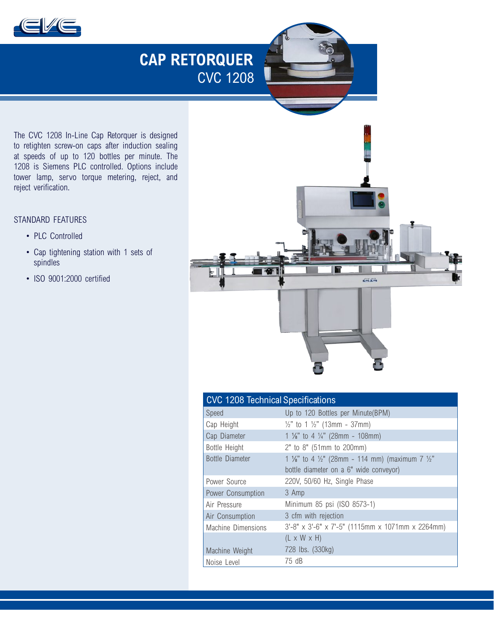

# **CAP RETORQUER** CVC 1208

The CVC 1208 In-Line Cap Retorquer is designed to retighten screw-on caps after induction sealing at speeds of up to 120 bottles per minute. The 1208 is Siemens PLC controlled. Options include tower lamp, servo torque metering, reject, and reject verification.

### STANDARD FEATURES

- PLC Controlled
- Cap tightening station with 1 sets of spindles
- ISO 9001:2000 certified



| <b>CVC 1208 Technical Specifications</b> |                                                                                   |
|------------------------------------------|-----------------------------------------------------------------------------------|
| Speed                                    | Up to 120 Bottles per Minute(BPM)                                                 |
| Cap Height                               | $\frac{1}{2}$ " to 1 $\frac{1}{2}$ " (13mm - 37mm)                                |
| Cap Diameter                             | 1 $\frac{1}{8}$ to 4 $\frac{1}{4}$ (28mm - 108mm)                                 |
| Bottle Height                            | 2" to 8" (51mm to 200mm)                                                          |
| Bottle Diameter                          | 1 $\frac{1}{8}$ " to 4 $\frac{1}{2}$ " (28mm - 114 mm) (maximum 7 $\frac{1}{2}$ " |
|                                          | bottle diameter on a 6" wide conveyor)                                            |
| Power Source                             | 220V, 50/60 Hz, Single Phase                                                      |
| Power Consumption                        | 3 Amp                                                                             |
| Air Pressure                             | Minimum 85 psi (ISO 8573-1)                                                       |
| Air Consumption                          | 3 cfm with rejection                                                              |
| Machine Dimensions                       | 3'-8" x 3'-6" x 7'-5" (1115mm x 1071mm x 2264mm)                                  |
|                                          | $(L \times W \times H)$                                                           |
| Machine Weight                           | 728 lbs. (330kg)                                                                  |
| Noise Level                              | 75 dB                                                                             |